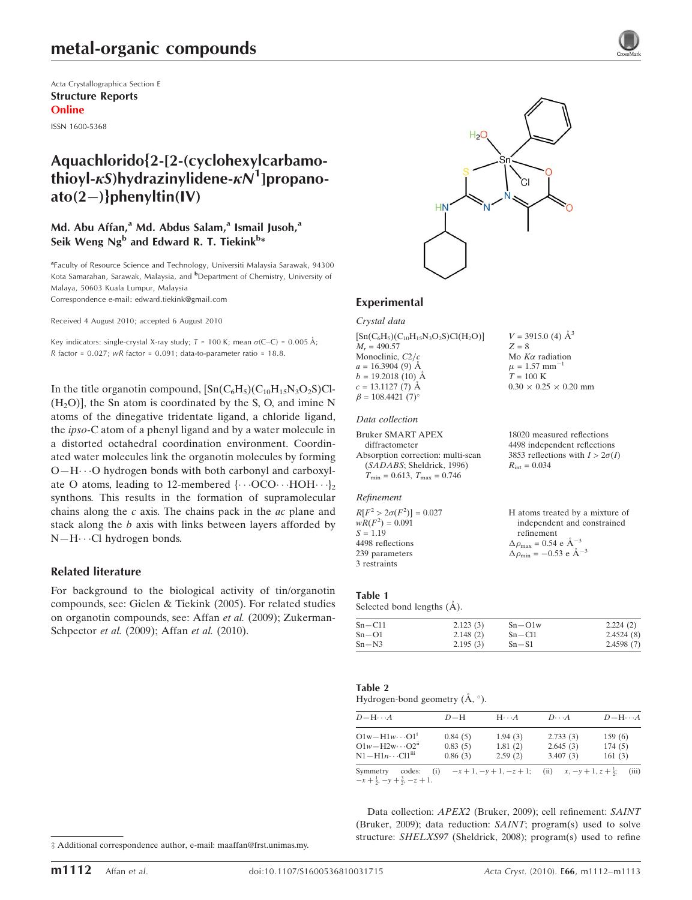Acta Crystallographica Section E Structure Reports Online

ISSN 1600-5368

## Aquachlorido{2-[2-(cyclohexylcarbamothioyl- $\kappa$ S)hydrazinylidene- $\kappa\mathcal{N}^1$ ]propanoato(2-)}phenyltin(IV)

### Md. Abu Affan,<sup>a</sup> Md. Abdus Salam,<sup>a</sup> Ismail Jusoh,<sup>a</sup> Seik Weng Ng $^{\rm b}$  and Edward R. T. Tiekink $^{\rm b*}$

<sup>a</sup> Faculty of Resource Science and Technology, Universiti Malaysia Sarawak, 94300 Kota Samarahan, Sarawak, Malaysia, and <sup>b</sup>Department of Chemistry, University of Malaya, 50603 Kuala Lumpur, Malaysia

Correspondence e-mail: edward.tiekink@gmail.com

Received 4 August 2010; accepted 6 August 2010

Key indicators: single-crystal X-ray study;  $T = 100$  K; mean  $\sigma$ (C–C) = 0.005 Å; R factor =  $0.027$ ; wR factor =  $0.091$ ; data-to-parameter ratio = 18.8.

In the title organotin compound,  $\left[\text{Sn}(C_6H_5)(C_{10}H_15N_3O_2S)C\right]$  $(H<sub>2</sub>O)$ , the Sn atom is coordinated by the S, O, and imine N atoms of the dinegative tridentate ligand, a chloride ligand, the ipso-C atom of a phenyl ligand and by a water molecule in a distorted octahedral coordination environment. Coordinated water molecules link the organotin molecules by forming  $O-H\cdots O$  hydrogen bonds with both carbonyl and carboxylate O atoms, leading to 12-membered  $\{\cdots$  OCO $\cdots$  HOH $\cdots$ }<sub>2</sub> synthons. This results in the formation of supramolecular chains along the  $c$  axis. The chains pack in the  $ac$  plane and stack along the b axis with links between layers afforded by  $N-H\cdots$ Cl hydrogen bonds.

#### Related literature

For background to the biological activity of tin/organotin compounds, see: Gielen & Tiekink (2005). For related studies on organotin compounds, see: Affan et al. (2009); Zukerman-Schpector et al. (2009); Affan et al. (2010).



 $V = 3915.0$  (4)  $\AA^3$ 

Mo  $K\alpha$  radiation  $\mu = 1.57$  mm<sup>-</sup>

1

18020 measured reflections 4498 independent reflections 3853 reflections with  $I > 2\sigma(I)$ 

 $0.30 \times 0.25 \times 0.20$  mm

 $Z = 8$ 

 $T=100~\mathrm{K}$ 

 $R_{\rm int} = 0.034$ 

#### Experimental

Crystal data

 $[Sn(C_6H_5)(C_{10}H_{15}N_3O_2S)Cl(H_2O)]$  $M<sub>r</sub> = 490.57$ Monoclinic,  $C2/c$  $a = 16.3904(9)$  Å  $b = 19.2018(10)$  Å  $c = 13.1127(7)$  Å  $\beta = 108.4421 (7)^{\circ}$ 

#### Data collection

#### Refinement

 $R[F^2 > 2\sigma(F^2)] = 0.027$  $wR(F^2) = 0.091$  $S = 1.19$ 4498 reflections 239 parameters 3 restraints H atoms treated by a mixture of independent and constrained refinement  $\Delta \rho_{\text{max}} = 0.54 \text{ e A}^{-3}$  $\Delta \rho_{\text{min}} = -0.53 \text{ e A}^{-3}$ 

#### Table 1

Selected bond lengths (Å).

| $Sn - C11$ | 2.123(3) | $Sn-O1w$ | 2.224(2)  |
|------------|----------|----------|-----------|
| $Sn-O1$    | 2.148(2) | $Sn-Cl1$ | 2.4524(8) |
| $Sn - N3$  | 2.195(3) | $Sn-S1$  | 2.4598(7) |

| Table 2                               |  |
|---------------------------------------|--|
| Hydrogen-bond geometry $(A, \circ)$ . |  |

| $D - H \cdots A$         | $D-H$   | $H\cdots A$                | $D\cdots A$                         | $D - H \cdots A$ |
|--------------------------|---------|----------------------------|-------------------------------------|------------------|
| $O1w - H1w \cdots O1^1$  | 0.84(5) | 1.94(3)                    | 2.733(3)                            | 159(6)           |
| $O1w - H2w \cdots O2^n$  | 0.83(5) | 1.81(2)                    | 2.645(3)                            | 174(5)           |
| $N1 - H1n \cdots Cl1iii$ | 0.86(3) | 2.59(2)                    | 3.407(3)                            | 161(3)           |
| Symmetry<br>codes:       | (i)     | $-x+1$ , $-y+1$ , $-z+1$ ; | (ii) $x, -y + 1, z + \frac{1}{2}$ ; | (iii)            |

 $-x + \frac{1}{2}, -y + \frac{3}{2}, -z + 1.$ 

Data collection: APEX2 (Bruker, 2009); cell refinement: SAINT (Bruker, 2009); data reduction: SAINT; program(s) used to solve structure: SHELXS97 (Sheldrick, 2008); program(s) used to refine

<sup>‡</sup> Additional correspondence author, e-mail: maaffan@frst.unimas.my.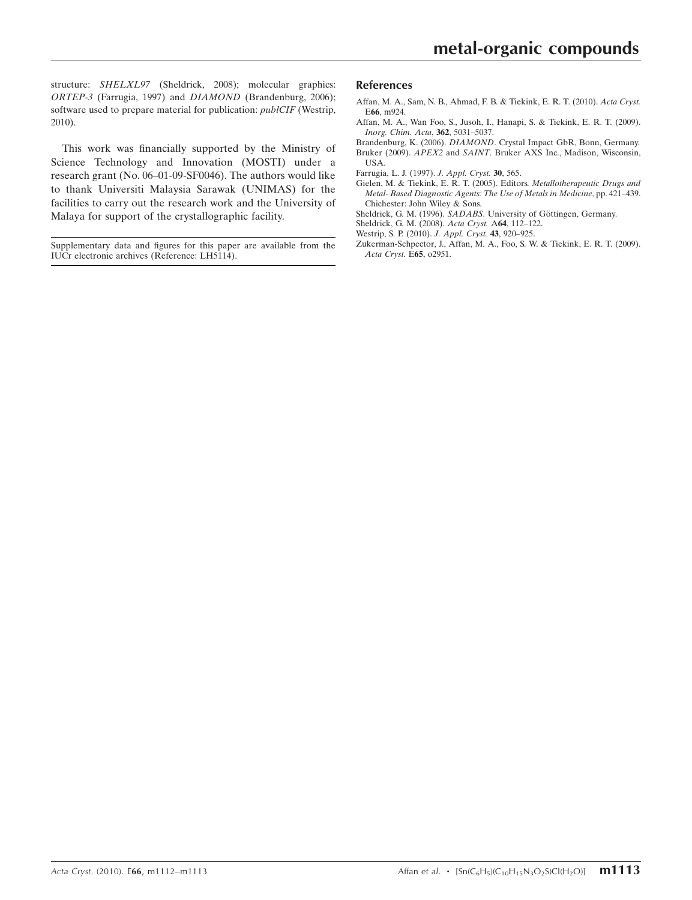structure: SHELXL97 (Sheldrick, 2008); molecular graphics: ORTEP-3 (Farrugia, 1997) and DIAMOND (Brandenburg, 2006); software used to prepare material for publication: *publCIF* (Westrip, 2010).

This work was financially supported by the Ministry of Science Technology and Innovation (MOSTI) under a research grant (No. 06–01-09-SF0046). The authors would like to thank Universiti Malaysia Sarawak (UNIMAS) for the facilities to carry out the research work and the University of Malaya for support of the crystallographic facility.

Supplementary data and figures for this paper are available from the IUCr electronic archives (Reference: LH5114).

#### References

- [Affan, M. A., Sam, N. B., Ahmad, F. B. & Tiekink, E. R. T. \(2010\).](https://scripts.iucr.org/cgi-bin/cr.cgi?rm=pdfbb&cnor=lh5114&bbid=BB1) Acta Cryst. E66[, m924.](https://scripts.iucr.org/cgi-bin/cr.cgi?rm=pdfbb&cnor=lh5114&bbid=BB1)
- [Affan, M. A., Wan Foo, S., Jusoh, I., Hanapi, S. & Tiekink, E. R. T. \(2009\).](https://scripts.iucr.org/cgi-bin/cr.cgi?rm=pdfbb&cnor=lh5114&bbid=BB2) [Inorg. Chim. Acta](https://scripts.iucr.org/cgi-bin/cr.cgi?rm=pdfbb&cnor=lh5114&bbid=BB2), 362, 5031–5037.
- Brandenburg, K. (2006). DIAMOND[. Crystal Impact GbR, Bonn, Germany.](https://scripts.iucr.org/cgi-bin/cr.cgi?rm=pdfbb&cnor=lh5114&bbid=BB3) Bruker (2009). APEX2 and SAINT[. Bruker AXS Inc., Madison, Wisconsin,](https://scripts.iucr.org/cgi-bin/cr.cgi?rm=pdfbb&cnor=lh5114&bbid=BB4) [USA.](https://scripts.iucr.org/cgi-bin/cr.cgi?rm=pdfbb&cnor=lh5114&bbid=BB4)
- [Farrugia, L. J. \(1997\).](https://scripts.iucr.org/cgi-bin/cr.cgi?rm=pdfbb&cnor=lh5114&bbid=BB5) J. Appl. Cryst. 30, 565.
- [Gielen, M. & Tiekink, E. R. T. \(2005\). Editors.](https://scripts.iucr.org/cgi-bin/cr.cgi?rm=pdfbb&cnor=lh5114&bbid=BB6) Metallotherapeutic Drugs and [Metal- Based Diagnostic Agents: The Use of Metals in Medicine](https://scripts.iucr.org/cgi-bin/cr.cgi?rm=pdfbb&cnor=lh5114&bbid=BB6), pp. 421–439. [Chichester: John Wiley & Sons.](https://scripts.iucr.org/cgi-bin/cr.cgi?rm=pdfbb&cnor=lh5114&bbid=BB6)
- Sheldrick, G. M. (1996). SADABS. University of Göttingen, Germany.
- [Sheldrick, G. M. \(2008\).](https://scripts.iucr.org/cgi-bin/cr.cgi?rm=pdfbb&cnor=lh5114&bbid=BB8) Acta Cryst. A64, 112–122.
- [Westrip, S. P. \(2010\).](https://scripts.iucr.org/cgi-bin/cr.cgi?rm=pdfbb&cnor=lh5114&bbid=BB9) J. Appl. Cryst. 43, 920–925.
- [Zukerman-Schpector, J., Affan, M. A., Foo, S. W. & Tiekink, E. R. T. \(2009\).](https://scripts.iucr.org/cgi-bin/cr.cgi?rm=pdfbb&cnor=lh5114&bbid=BB10) [Acta Cryst.](https://scripts.iucr.org/cgi-bin/cr.cgi?rm=pdfbb&cnor=lh5114&bbid=BB10) E65, o2951.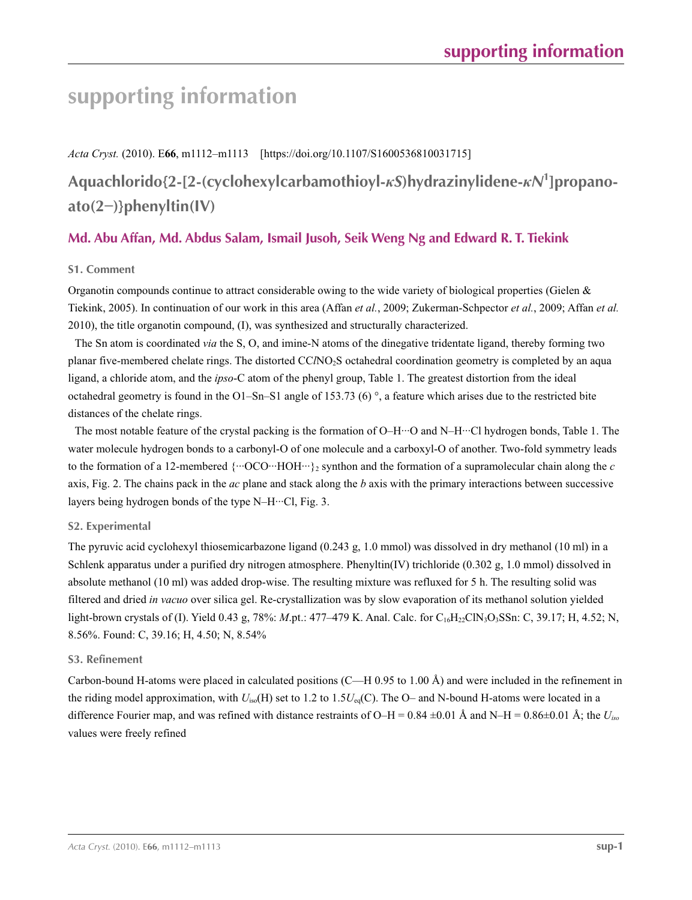# **supporting information**

*Acta Cryst.* (2010). E**66**, m1112–m1113 [https://doi.org/10.1107/S1600536810031715]

## **Aquachlorido{2-[2-(cyclohexylcarbamothioyl-***κS***)hydrazinylidene-***κN***<sup>1</sup> ]propanoato(2−)}phenyltin(IV)**

## **Md. Abu Affan, Md. Abdus Salam, Ismail Jusoh, Seik Weng Ng and Edward R. T. Tiekink**

### **S1. Comment**

Organotin compounds continue to attract considerable owing to the wide variety of biological properties (Gielen  $\&$ Tiekink, 2005). In continuation of our work in this area (Affan *et al.*, 2009; Zukerman-Schpector *et al.*, 2009; Affan *et al.* 2010), the title organotin compound, (I), was synthesized and structurally characterized.

The Sn atom is coordinated *via* the S, O, and imine-N atoms of the dinegative tridentate ligand, thereby forming two planar five-membered chelate rings. The distorted CC*l*NO2S octahedral coordination geometry is completed by an aqua ligand, a chloride atom, and the *ipso*-C atom of the phenyl group, Table 1. The greatest distortion from the ideal octahedral geometry is found in the O1–Sn–S1 angle of 153.73 (6)  $^{\circ}$ , a feature which arises due to the restricted bite distances of the chelate rings.

The most notable feature of the crystal packing is the formation of O–H···O and N–H···Cl hydrogen bonds, Table 1. The water molecule hydrogen bonds to a carbonyl-O of one molecule and a carboxyl-O of another. Two-fold symmetry leads to the formation of a 12-membered  $\{\cdots$ OCO $\cdots$ HOH $\cdots$ }<sub>2</sub> synthon and the formation of a supramolecular chain along the *c* axis, Fig. 2. The chains pack in the *ac* plane and stack along the *b* axis with the primary interactions between successive layers being hydrogen bonds of the type N–H···Cl, Fig. 3.

### **S2. Experimental**

The pyruvic acid cyclohexyl thiosemicarbazone ligand (0.243 g, 1.0 mmol) was dissolved in dry methanol (10 ml) in a Schlenk apparatus under a purified dry nitrogen atmosphere. Phenyltin(IV) trichloride (0.302 g, 1.0 mmol) dissolved in absolute methanol (10 ml) was added drop-wise. The resulting mixture was refluxed for 5 h. The resulting solid was filtered and dried *in vacuo* over silica gel. Re-crystallization was by slow evaporation of its methanol solution yielded light-brown crystals of (I). Yield 0.43 g, 78%: *M*.pt.: 477–479 K. Anal. Calc. for C<sub>16</sub>H<sub>22</sub>ClN<sub>3</sub>O<sub>3</sub>SSn: C, 39.17; H, 4.52; N, 8.56%. Found: C, 39.16; H, 4.50; N, 8.54%

#### **S3. Refinement**

Carbon-bound H-atoms were placed in calculated positions (C—H 0.95 to 1.00 Å) and were included in the refinement in the riding model approximation, with *U*iso(H) set to 1.2 to 1.5*U*eq(C). The O– and N-bound H-atoms were located in a difference Fourier map, and was refined with distance restraints of O–H =  $0.84 \pm 0.01$  Å and N–H =  $0.86 \pm 0.01$  Å; the  $U_{iso}$ values were freely refined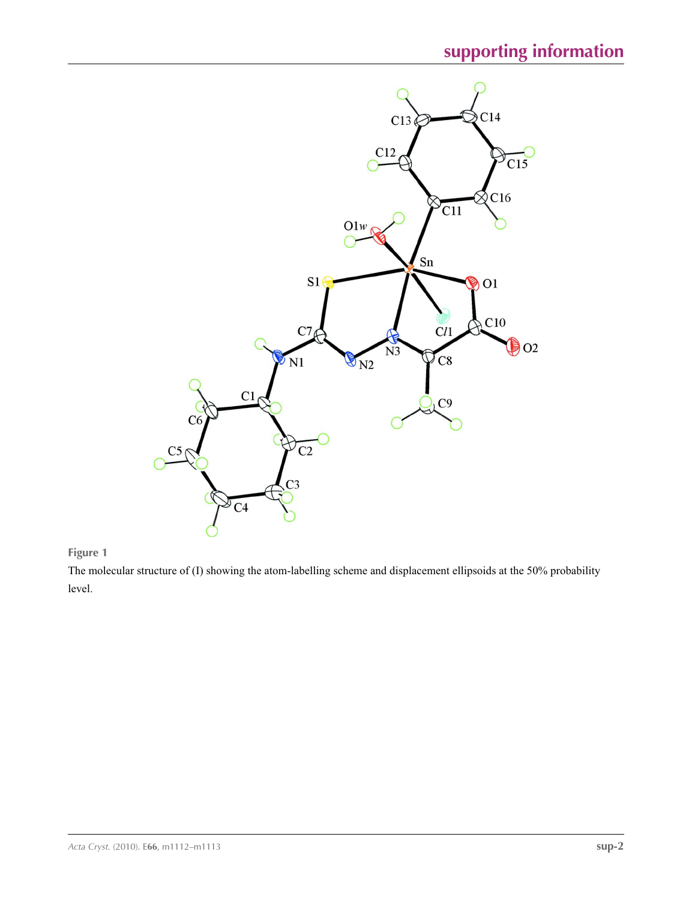

## **Figure 1**

The molecular structure of (I) showing the atom-labelling scheme and displacement ellipsoids at the 50% probability level.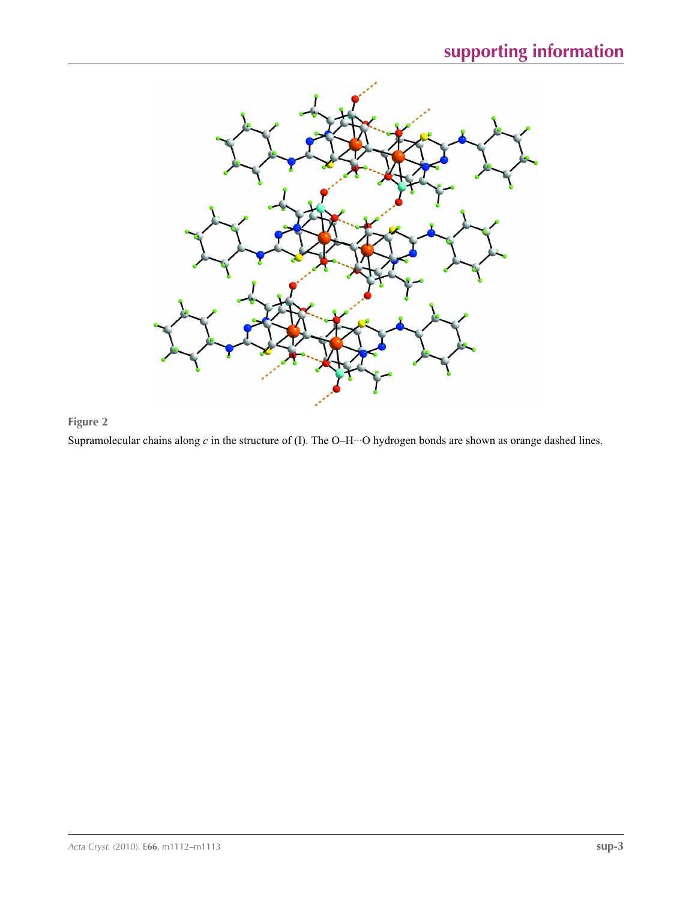

## **Figure 2**

Supramolecular chains along *c* in the structure of (I). The O–H···O hydrogen bonds are shown as orange dashed lines.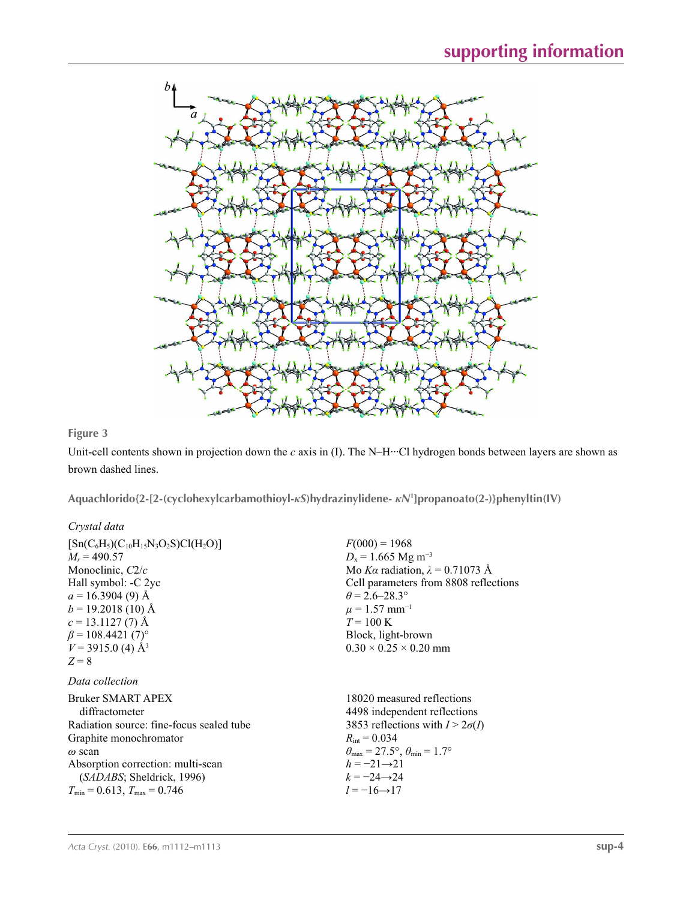

## **Figure 3**

Unit-cell contents shown in projection down the *c* axis in (I). The N–H···Cl hydrogen bonds between layers are shown as brown dashed lines.

**Aquachlorido{2-[2-(cyclohexylcarbamothioyl-***κS***)hydrazinylidene-** *κN***<sup>1</sup> ]propanoato(2-)}phenyltin(IV)** 

## *Crystal data*

| $M_r = 490.57$<br>Monoclinic, C2/c<br>Hall symbol: -C 2yc<br>$a = 16.3904(9)$ Å<br>$b = 19.2018(10)$ Å<br>$c = 13.1127(7)$ Å<br>$\beta$ = 108.4421 (7) <sup>o</sup><br>$V = 3915.0$ (4) Å <sup>3</sup><br>$Z = 8$                                         | $D_x = 1.665$ Mg m <sup>-3</sup><br>Mo Ka radiation, $\lambda = 0.71073$ Å<br>Cell parameters from 8808 reflections<br>$\theta$ = 2.6–28.3°<br>$\mu = 1.57$ mm <sup>-1</sup><br>$T = 100 \text{ K}$<br>Block, light-brown<br>$0.30 \times 0.25 \times 0.20$ mm                                  |
|-----------------------------------------------------------------------------------------------------------------------------------------------------------------------------------------------------------------------------------------------------------|-------------------------------------------------------------------------------------------------------------------------------------------------------------------------------------------------------------------------------------------------------------------------------------------------|
| Data collection<br>Bruker SMART APEX<br>diffractometer<br>Radiation source: fine-focus sealed tube<br>Graphite monochromator<br>$\omega$ scan<br>Absorption correction: multi-scan<br>(SADABS; Sheldrick, 1996)<br>$T_{\min}$ = 0.613, $T_{\max}$ = 0.746 | 18020 measured reflections<br>4498 independent reflections<br>3853 reflections with $I > 2\sigma(I)$<br>$R_{\text{int}} = 0.034$<br>$\theta_{\text{max}} = 27.5^{\circ}, \theta_{\text{min}} = 1.7^{\circ}$<br>$h = -21 \rightarrow 21$<br>$k = -24 \rightarrow 24$<br>$l = -16 \rightarrow 17$ |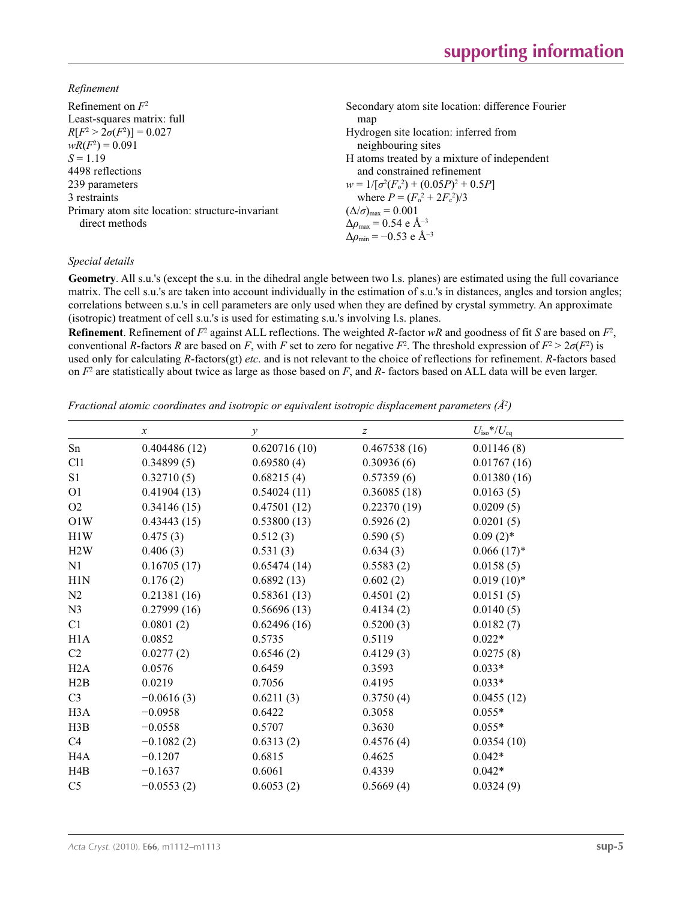*Refinement*

| Secondary atom site location: difference Fourier            |
|-------------------------------------------------------------|
| map                                                         |
| Hydrogen site location: inferred from                       |
| neighbouring sites                                          |
| H atoms treated by a mixture of independent                 |
| and constrained refinement                                  |
| $w = 1/[\sigma^2(F_0^2) + (0.05P)^2 + 0.5P]$                |
| where $P = (F_0^2 + 2F_c^2)/3$                              |
| $(\Delta/\sigma)_{\text{max}} = 0.001$                      |
| $\Delta\rho_{\text{max}} = 0.54 \text{ e } \text{\AA}^{-3}$ |
| $\Delta\rho_{\rm min} = -0.53$ e Å <sup>-3</sup>            |
|                                                             |

#### *Special details*

**Geometry**. All s.u.'s (except the s.u. in the dihedral angle between two l.s. planes) are estimated using the full covariance matrix. The cell s.u.'s are taken into account individually in the estimation of s.u.'s in distances, angles and torsion angles; correlations between s.u.'s in cell parameters are only used when they are defined by crystal symmetry. An approximate (isotropic) treatment of cell s.u.'s is used for estimating s.u.'s involving l.s. planes.

**Refinement**. Refinement of  $F^2$  against ALL reflections. The weighted  $R$ -factor  $wR$  and goodness of fit  $S$  are based on  $F^2$ , conventional *R*-factors *R* are based on *F*, with *F* set to zero for negative *F*<sup>2</sup>. The threshold expression of  $F^2 > 2\sigma(F^2)$  is used only for calculating *R*-factors(gt) *etc*. and is not relevant to the choice of reflections for refinement. *R*-factors based on *F*<sup>2</sup> are statistically about twice as large as those based on *F*, and *R*- factors based on ALL data will be even larger.

*Fractional atomic coordinates and isotropic or equivalent isotropic displacement parameters (Å<sup>2</sup>)* 

|                  | $\boldsymbol{x}$ | $\mathcal{Y}$ | z            | $U_{\rm iso} * / U_{\rm eq}$ |
|------------------|------------------|---------------|--------------|------------------------------|
| Sn               | 0.404486(12)     | 0.620716(10)  | 0.467538(16) | 0.01146(8)                   |
| C11              | 0.34899(5)       | 0.69580(4)    | 0.30936(6)   | 0.01767(16)                  |
| S1               | 0.32710(5)       | 0.68215(4)    | 0.57359(6)   | 0.01380(16)                  |
| O <sub>1</sub>   | 0.41904(13)      | 0.54024(11)   | 0.36085(18)  | 0.0163(5)                    |
| O2               | 0.34146(15)      | 0.47501(12)   | 0.22370(19)  | 0.0209(5)                    |
| O1W              | 0.43443(15)      | 0.53800(13)   | 0.5926(2)    | 0.0201(5)                    |
| H1W              | 0.475(3)         | 0.512(3)      | 0.590(5)     | $0.09(2)$ *                  |
| H2W              | 0.406(3)         | 0.531(3)      | 0.634(3)     | $0.066(17)^*$                |
| N1               | 0.16705(17)      | 0.65474(14)   | 0.5583(2)    | 0.0158(5)                    |
| H1N              | 0.176(2)         | 0.6892(13)    | 0.602(2)     | $0.019(10)*$                 |
| N2               | 0.21381(16)      | 0.58361(13)   | 0.4501(2)    | 0.0151(5)                    |
| N <sub>3</sub>   | 0.27999(16)      | 0.56696(13)   | 0.4134(2)    | 0.0140(5)                    |
| C1               | 0.0801(2)        | 0.62496(16)   | 0.5200(3)    | 0.0182(7)                    |
| H1A              | 0.0852           | 0.5735        | 0.5119       | $0.022*$                     |
| C <sub>2</sub>   | 0.0277(2)        | 0.6546(2)     | 0.4129(3)    | 0.0275(8)                    |
| H2A              | 0.0576           | 0.6459        | 0.3593       | $0.033*$                     |
| H2B              | 0.0219           | 0.7056        | 0.4195       | $0.033*$                     |
| C <sub>3</sub>   | $-0.0616(3)$     | 0.6211(3)     | 0.3750(4)    | 0.0455(12)                   |
| H <sub>3</sub> A | $-0.0958$        | 0.6422        | 0.3058       | $0.055*$                     |
| H3B              | $-0.0558$        | 0.5707        | 0.3630       | $0.055*$                     |
| C4               | $-0.1082(2)$     | 0.6313(2)     | 0.4576(4)    | 0.0354(10)                   |
| H <sub>4</sub> A | $-0.1207$        | 0.6815        | 0.4625       | $0.042*$                     |
| H4B              | $-0.1637$        | 0.6061        | 0.4339       | $0.042*$                     |
| C <sub>5</sub>   | $-0.0553(2)$     | 0.6053(2)     | 0.5669(4)    | 0.0324(9)                    |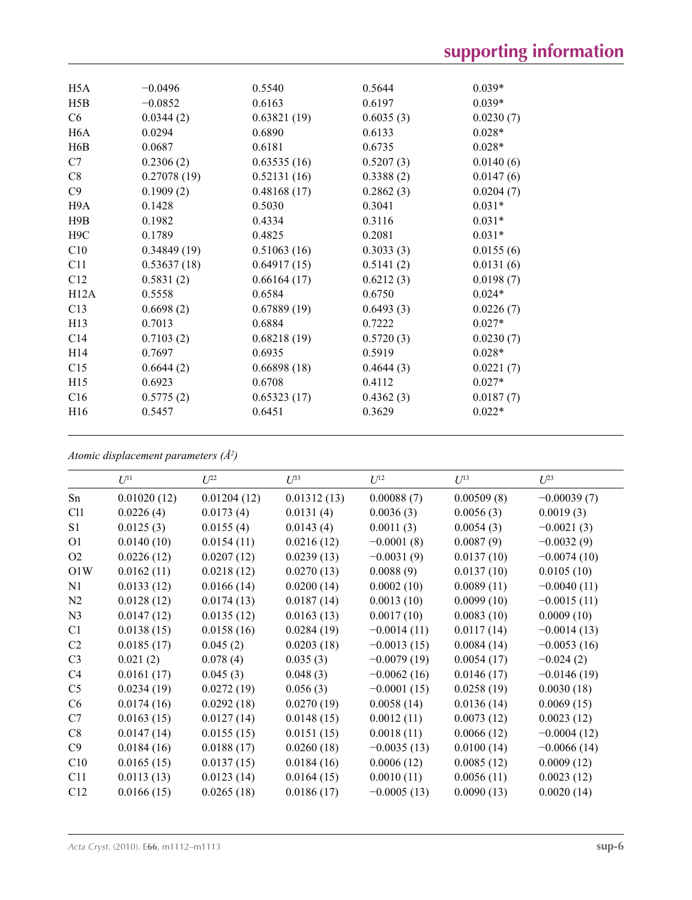| H <sub>5</sub> A | $-0.0496$   | 0.5540      | 0.5644    | $0.039*$  |
|------------------|-------------|-------------|-----------|-----------|
| H5B              | $-0.0852$   | 0.6163      | 0.6197    | $0.039*$  |
| C6               | 0.0344(2)   | 0.63821(19) | 0.6035(3) | 0.0230(7) |
| H <sub>6</sub> A | 0.0294      | 0.6890      | 0.6133    | $0.028*$  |
| H <sub>6</sub> B | 0.0687      | 0.6181      | 0.6735    | $0.028*$  |
| C7               | 0.2306(2)   | 0.63535(16) | 0.5207(3) | 0.0140(6) |
| C8               | 0.27078(19) | 0.52131(16) | 0.3388(2) | 0.0147(6) |
| C9               | 0.1909(2)   | 0.48168(17) | 0.2862(3) | 0.0204(7) |
| H <sub>9</sub> A | 0.1428      | 0.5030      | 0.3041    | $0.031*$  |
| H9B              | 0.1982      | 0.4334      | 0.3116    | $0.031*$  |
| H <sub>9</sub> C | 0.1789      | 0.4825      | 0.2081    | $0.031*$  |
| C10              | 0.34849(19) | 0.51063(16) | 0.3033(3) | 0.0155(6) |
| C11              | 0.53637(18) | 0.64917(15) | 0.5141(2) | 0.0131(6) |
| C12              | 0.5831(2)   | 0.66164(17) | 0.6212(3) | 0.0198(7) |
| H12A             | 0.5558      | 0.6584      | 0.6750    | $0.024*$  |
| C13              | 0.6698(2)   | 0.67889(19) | 0.6493(3) | 0.0226(7) |
| H13              | 0.7013      | 0.6884      | 0.7222    | $0.027*$  |
| C <sub>14</sub>  | 0.7103(2)   | 0.68218(19) | 0.5720(3) | 0.0230(7) |
| H <sub>14</sub>  | 0.7697      | 0.6935      | 0.5919    | $0.028*$  |
| C15              | 0.6644(2)   | 0.66898(18) | 0.4644(3) | 0.0221(7) |
| H15              | 0.6923      | 0.6708      | 0.4112    | $0.027*$  |
| C16              | 0.5775(2)   | 0.65323(17) | 0.4362(3) | 0.0187(7) |
| H <sub>16</sub>  | 0.5457      | 0.6451      | 0.3629    | $0.022*$  |
|                  |             |             |           |           |

*Atomic displacement parameters (Å2 )*

|                | $U^{11}$    | $U^{22}$    | $U^{33}$    | $U^{12}$      | $U^{13}$   | $U^{23}$      |
|----------------|-------------|-------------|-------------|---------------|------------|---------------|
| Sn             | 0.01020(12) | 0.01204(12) | 0.01312(13) | 0.00088(7)    | 0.00509(8) | $-0.00039(7)$ |
| C11            | 0.0226(4)   | 0.0173(4)   | 0.0131(4)   | 0.0036(3)     | 0.0056(3)  | 0.0019(3)     |
| S <sub>1</sub> | 0.0125(3)   | 0.0155(4)   | 0.0143(4)   | 0.0011(3)     | 0.0054(3)  | $-0.0021(3)$  |
| O <sub>1</sub> | 0.0140(10)  | 0.0154(11)  | 0.0216(12)  | $-0.0001(8)$  | 0.0087(9)  | $-0.0032(9)$  |
| O <sub>2</sub> | 0.0226(12)  | 0.0207(12)  | 0.0239(13)  | $-0.0031(9)$  | 0.0137(10) | $-0.0074(10)$ |
| O1W            | 0.0162(11)  | 0.0218(12)  | 0.0270(13)  | 0.0088(9)     | 0.0137(10) | 0.0105(10)    |
| N1             | 0.0133(12)  | 0.0166(14)  | 0.0200(14)  | 0.0002(10)    | 0.0089(11) | $-0.0040(11)$ |
| N <sub>2</sub> | 0.0128(12)  | 0.0174(13)  | 0.0187(14)  | 0.0013(10)    | 0.0099(10) | $-0.0015(11)$ |
| N <sub>3</sub> | 0.0147(12)  | 0.0135(12)  | 0.0163(13)  | 0.0017(10)    | 0.0083(10) | 0.0009(10)    |
| C1             | 0.0138(15)  | 0.0158(16)  | 0.0284(19)  | $-0.0014(11)$ | 0.0117(14) | $-0.0014(13)$ |
| C <sub>2</sub> | 0.0185(17)  | 0.045(2)    | 0.0203(18)  | $-0.0013(15)$ | 0.0084(14) | $-0.0053(16)$ |
| C <sub>3</sub> | 0.021(2)    | 0.078(4)    | 0.035(3)    | $-0.0079(19)$ | 0.0054(17) | $-0.024(2)$   |
| C4             | 0.0161(17)  | 0.045(3)    | 0.048(3)    | $-0.0062(16)$ | 0.0146(17) | $-0.0146(19)$ |
| C <sub>5</sub> | 0.0234(19)  | 0.0272(19)  | 0.056(3)    | $-0.0001(15)$ | 0.0258(19) | 0.0030(18)    |
| C6             | 0.0174(16)  | 0.0292(18)  | 0.0270(19)  | 0.0058(14)    | 0.0136(14) | 0.0069(15)    |
| C7             | 0.0163(15)  | 0.0127(14)  | 0.0148(15)  | 0.0012(11)    | 0.0073(12) | 0.0023(12)    |
| C8             | 0.0147(14)  | 0.0155(15)  | 0.0151(15)  | 0.0018(11)    | 0.0066(12) | $-0.0004(12)$ |
| C9             | 0.0184(16)  | 0.0188(17)  | 0.0260(18)  | $-0.0035(13)$ | 0.0100(14) | $-0.0066(14)$ |
| C10            | 0.0165(15)  | 0.0137(15)  | 0.0184(16)  | 0.0006(12)    | 0.0085(12) | 0.0009(12)    |
| C11            | 0.0113(13)  | 0.0123(14)  | 0.0164(15)  | 0.0010(11)    | 0.0056(11) | 0.0023(12)    |
| C12            | 0.0166(15)  | 0.0265(18)  | 0.0186(17)  | $-0.0005(13)$ | 0.0090(13) | 0.0020(14)    |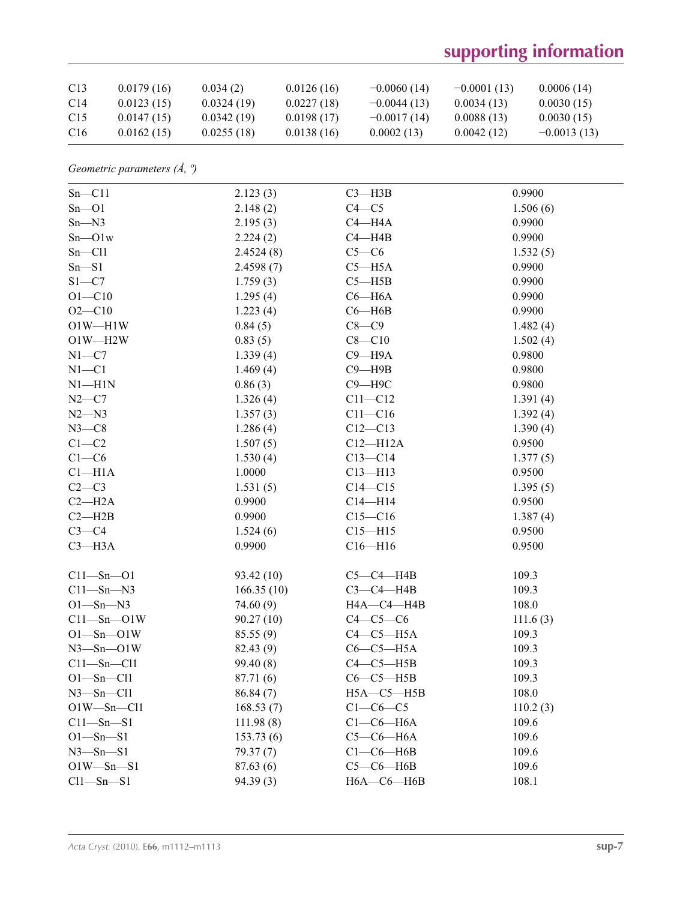# **supporting information**

| C <sub>13</sub> | 0.0179(16) | 0.034(2)   | 0.0126(16) | $-0.0060(14)$ | $-0.0001(13)$ | 0.0006(14)    |
|-----------------|------------|------------|------------|---------------|---------------|---------------|
| C <sub>14</sub> | 0.0123(15) | 0.0324(19) | 0.0227(18) | $-0.0044(13)$ | 0.0034(13)    | 0.0030(15)    |
| C15             | 0.0147(15) | 0.0342(19) | 0.0198(17) | $-0.0017(14)$ | 0.0088(13)    | 0.0030(15)    |
| C <sub>16</sub> | 0.0162(15) | 0.0255(18) | 0.0138(16) | 0.0002(13)    | 0.0042(12)    | $-0.0013(13)$ |

*Geometric parameters (Å, º)*

| $Sn - C11$       | 2.123(3)   | $C3 - H3B$       | 0.9900   |
|------------------|------------|------------------|----------|
| $Sn - O1$        | 2.148(2)   | $C4-C5$          | 1.506(6) |
| $Sn - N3$        | 2.195(3)   | $C4 - H4A$       | 0.9900   |
| $Sn - O1w$       | 2.224(2)   | $C4 - H4B$       | 0.9900   |
| $Sn - Cl1$       | 2.4524(8)  | $C5-C6$          | 1.532(5) |
| $Sn - S1$        | 2.4598(7)  | $C5 - H5A$       | 0.9900   |
| $S1 - C7$        | 1.759(3)   | $C5 - H5B$       | 0.9900   |
| $O1 - C10$       | 1.295(4)   | $C6 - H6A$       | 0.9900   |
| $O2 - C10$       | 1.223(4)   | $C6 - H6B$       | 0.9900   |
| $O1W - H1W$      | 0.84(5)    | $C8-C9$          | 1.482(4) |
| $O1W - H2W$      | 0.83(5)    | $C8 - C10$       | 1.502(4) |
| $N1 - C7$        | 1.339(4)   | $C9 - H9A$       | 0.9800   |
| $N1 - C1$        | 1.469(4)   | $C9 - H9B$       | 0.9800   |
| $N1 - H1N$       | 0.86(3)    | $C9 - H9C$       | 0.9800   |
| $N2-C7$          | 1.326(4)   | $C11 - C12$      | 1.391(4) |
| $N2 - N3$        | 1.357(3)   | $C11 - C16$      | 1.392(4) |
| $N3-C8$          | 1.286(4)   | $C12 - C13$      | 1.390(4) |
| $C1 - C2$        | 1.507(5)   | $C12 - H12A$     | 0.9500   |
| $C1-C6$          | 1.530(4)   | $C13 - C14$      | 1.377(5) |
| $Cl-H1A$         | 1.0000     | $C13 - H13$      | 0.9500   |
| $C2-C3$          | 1.531(5)   | $C14 - C15$      | 1.395(5) |
| $C2 - H2A$       | 0.9900     | $C14 - H14$      | 0.9500   |
| $C2 - H2B$       | 0.9900     | $C15 - C16$      | 1.387(4) |
| $C3-C4$          | 1.524(6)   | $C15 - H15$      | 0.9500   |
| $C3 - H3A$       | 0.9900     | $C16 - H16$      | 0.9500   |
| $C11 - Sn - O1$  | 93.42(10)  | $C5-C4-H4B$      | 109.3    |
| $C11 - Sn - N3$  | 166.35(10) | $C3-C4-H4B$      | 109.3    |
| $O1 - Sn - N3$   | 74.60 (9)  | H4A-C4-H4B       | 108.0    |
| $C11 - Sn - O1W$ | 90.27(10)  | $C4-C5-C6$       | 111.6(3) |
| $O1 - Sn - O1W$  | 85.55(9)   | $C4-C5-H5A$      | 109.3    |
| $N3$ —Sn—O1W     | 82.43 (9)  | $C6-C5-H5A$      | 109.3    |
| $C11 - Sn - C11$ | 99.40(8)   | $C4-C5-H5B$      | 109.3    |
| $O1 - Sn - Cl1$  | 87.71 (6)  | $C6-C5-H5B$      | 109.3    |
| $N3$ —Sn—Cl1     | 86.84 (7)  | $H5A - C5 - H5B$ | 108.0    |
| $O1W - Sn - Cl1$ | 168.53(7)  | $C1-C6-C5$       | 110.2(3) |
| $C11 - Sn - S1$  | 111.98(8)  | $C1-C6-H6A$      | 109.6    |
| $O1 - Sn - S1$   | 153.73(6)  | $C5-C6-H6A$      | 109.6    |
| $N3$ —Sn—S1      | 79.37(7)   | $C1-C6-HAB$      | 109.6    |
| $O1W - Sn - S1$  | 87.63(6)   | $C5-C6-HAB$      | 109.6    |
| $Cl1 - Sn - S1$  | 94.39(3)   | $H6A - C6 - H6B$ | 108.1    |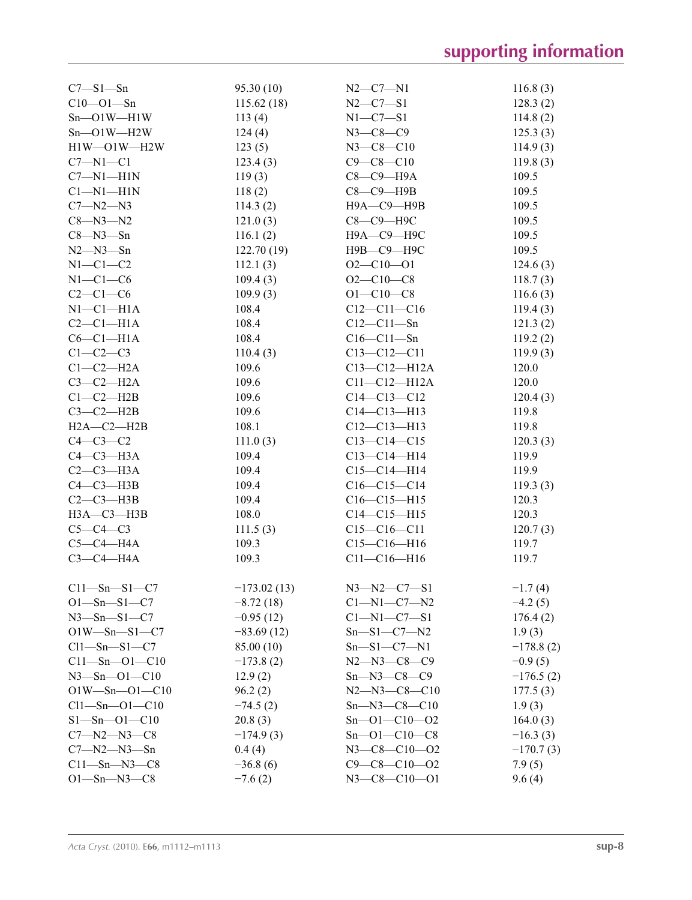| $C7 - S1 - Sn$        | 95.30(10)     | $N2 - C7 - N1$       | 116.8(3)    |
|-----------------------|---------------|----------------------|-------------|
| $C10 - O1 - Sn$       | 115.62(18)    | $N2-C7-S1$           | 128.3(2)    |
| $Sn$ – $O1$ W– $H1$ W | 113(4)        | $N1 - C7 - S1$       | 114.8(2)    |
| $Sn$ – $O1$ W– $H2$ W | 124(4)        | $N3 - C8 - C9$       | 125.3(3)    |
| $H1W$ — $O1W$ — $H2W$ | 123(5)        | $N3 - C8 - C10$      | 114.9(3)    |
| $C7 - N1 - C1$        | 123.4(3)      | $C9 - C8 - C10$      | 119.8(3)    |
| $C7 - N1 - H1N$       | 119(3)        | С8-С9-Н9А            | 109.5       |
| $Cl-M1-H1N$           | 118(2)        | $C8-C9$ -H9B         | 109.5       |
| $C7 - N2 - N3$        | 114.3(2)      | Н9А-С9-Н9В           | 109.5       |
| $C8 - N3 - N2$        | 121.0(3)      | С8-С9-Н9С            | 109.5       |
| $C8 - N3 - Sn$        | 116.1(2)      | Н9А-С9-Н9С           | 109.5       |
| $N2 - N3 - Sn$        | 122.70(19)    | Н9В-С9-Н9С           | 109.5       |
| $N1-C1-C2$            | 112.1(3)      | $O2 - C10 - O1$      | 124.6(3)    |
| $N1-C1-C6$            | 109.4(3)      | $O2 - C10 - C8$      | 118.7(3)    |
| $C2-C1-C6$            | 109.9(3)      | $O1 - C10 - C8$      | 116.6(3)    |
| $N1-C1-H1A$           | 108.4         | $C12-C11-C16$        | 119.4(3)    |
| $C2-C1-H1A$           | 108.4         | $C12 - C11 - Sn$     | 121.3(2)    |
| $C6-C1-H1A$           | 108.4         | $C16 - C11 - Sn$     | 119.2(2)    |
| $C1-C2-C3$            | 110.4(3)      | $C13 - C12 - C11$    | 119.9(3)    |
| $C1-C2-H2A$           | 109.6         | $C13 - C12 - H12A$   | 120.0       |
| $C3-C2-H2A$           | 109.6         | $C11 - C12 - H12A$   | 120.0       |
| $C1-C2-H2B$           | 109.6         | $C14 - C13 - C12$    | 120.4(3)    |
| $C3-C2-H2B$           |               | $C14 - C13 - H13$    | 119.8       |
|                       | 109.6         |                      |             |
| $H2A - C2 - H2B$      | 108.1         | $C12-C13-H13$        | 119.8       |
| $C4-C3-C2$            | 111.0(3)      | $C13 - C14 - C15$    | 120.3(3)    |
| $C4-C3-H3A$           | 109.4         | $C13-C14-H14$        | 119.9       |
| $C2-C3-H3A$           | 109.4         | $C15-C14-H14$        | 119.9       |
| $C4-C3-H3B$           | 109.4         | $C16-C15-C14$        | 119.3(3)    |
| $C2-C3-H3B$           | 109.4         | $C16-C15-H15$        | 120.3       |
| $H3A - C3 - H3B$      | 108.0         | $C14 - C15 - H15$    | 120.3       |
| $C5-C4-C3$            | 111.5(3)      | $C15-C16-C11$        | 120.7(3)    |
| $C5-C4-H4A$           | 109.3         | $C15-C16-H16$        | 119.7       |
| $C3-C4-H4A$           | 109.3         | $C11 - C16 - H16$    | 119.7       |
| $C11 - Sn - S1 - C7$  | $-173.02(13)$ | $N3 - N2 - C7 - S1$  | $-1.7(4)$   |
| $O1-Sn-S1-C7$         | $-8.72(18)$   | $C1 - N1 - C7 - N2$  | $-4.2(5)$   |
| $N3 - Sn - S1 - C7$   | $-0.95(12)$   | $C1 - N1 - C7 - S1$  | 176.4(2)    |
| $O1W - Sn - S1 - C7$  | $-83.69(12)$  | $Sn-S1-C7-N2$        | 1.9(3)      |
| $Cl1 - Sn - SI - C7$  | 85.00 (10)    | $Sn-S1-C7-N1$        | $-178.8(2)$ |
| $C11 - Sn - O1 - C10$ | $-173.8(2)$   | $N2 - N3 - C8 - C9$  | $-0.9(5)$   |
| $N3 - Sn - O1 - C10$  | 12.9(2)       | $Sn-M3-C8-C9$        | $-176.5(2)$ |
| $O1W$ —Sn— $O1$ —C10  | 96.2(2)       | $N2 - N3 - C8 - C10$ | 177.5(3)    |
| $Cl1 - Sn - O1 - Cl0$ | $-74.5(2)$    | $Sn - N3 - C8 - C10$ | 1.9(3)      |
| $S1 - Sn - O1 - C10$  | 20.8(3)       | $Sn - O1 - C10 - O2$ | 164.0(3)    |
| $C7 - N2 - N3 - C8$   | $-174.9(3)$   | $Sn - O1 - C10 - C8$ | $-16.3(3)$  |
| $C7 - N2 - N3 - Sn$   | 0.4(4)        | $N3 - C8 - C10 - 02$ | $-170.7(3)$ |
| $C11$ —Sn—N3—C8       | $-36.8(6)$    | $C9 - C8 - C10 - 02$ | 7.9(5)      |
| $O1 - Sn - N3 - C8$   | $-7.6(2)$     | $N3 - C8 - C10 - O1$ | 9.6(4)      |
|                       |               |                      |             |